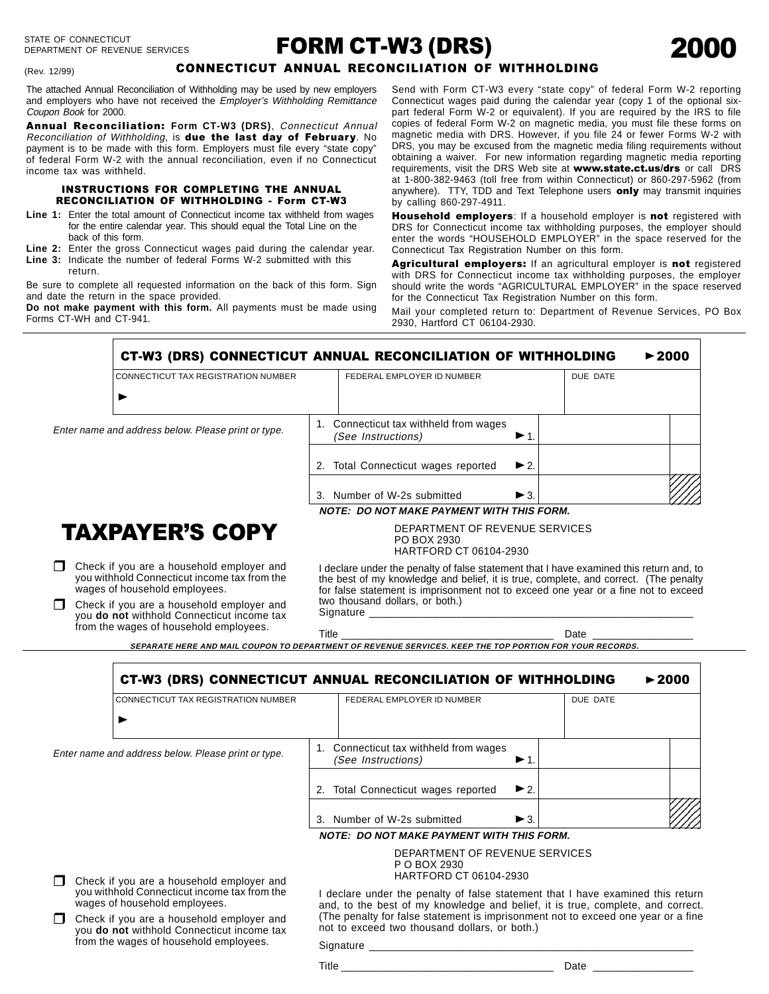#### (Rev. 12/99)

# FORM CT-W3 (DRS)

# CONNECTICUT ANNUAL RECONCILIATION OF WITHHOLDING

The attached Annual Reconciliation of Withholding may be used by new employers and employers who have not received the Employer's Withholding Remittance Coupon Book for 2000.

Annual Reconciliation: **Form CT-W3 (DRS)**, Connecticut Annual Reconciliation of Withholding, is due the last day of February. No payment is to be made with this form. Employers must file every "state copy" of federal Form W-2 with the annual reconciliation, even if no Connecticut income tax was withheld.

#### INSTRUCTIONS FOR COMPLETING THE ANNUAL RECONCILIATION OF WITHHOLDING - Form CT-W3

- **Line 1:** Enter the total amount of Connecticut income tax withheld from wages for the entire calendar year. This should equal the Total Line on the back of this form.
- **Line 2:** Enter the gross Connecticut wages paid during the calendar year.
- **Line 3:** Indicate the number of federal Forms W-2 submitted with this return.

Be sure to complete all requested information on the back of this form. Sign and date the return in the space provided.

**Do not make payment with this form.** All payments must be made using Forms CT-WH and CT-941.

Send with Form CT-W3 every "state copy" of federal Form W-2 reporting Connecticut wages paid during the calendar year (copy 1 of the optional sixpart federal Form W-2 or equivalent). If you are required by the IRS to file copies of federal Form W-2 on magnetic media, you must file these forms on magnetic media with DRS. However, if you file 24 or fewer Forms W-2 with DRS, you may be excused from the magnetic media filing requirements without obtaining a waiver. For new information regarding magnetic media reporting requirements, visit the DRS Web site at www.state.ct.us/drs or call DRS at 1-800-382-9463 (toll free from within Connecticut) or 860-297-5962 (from anywhere). TTY, TDD and Text Telephone users only may transmit inquiries by calling 860-297-4911.

Household employers: If a household employer is not registered with DRS for Connecticut income tax withholding purposes, the employer should enter the words "HOUSEHOLD EMPLOYER" in the space reserved for the Connecticut Tax Registration Number on this form.

Agricultural employers: If an agricultural employer is not registered with DRS for Connecticut income tax withholding purposes, the employer should write the words "AGRICULTURAL EMPLOYER" in the space reserved for the Connecticut Tax Registration Number on this form.

Mail your completed return to: Department of Revenue Services, PO Box 2930, Hartford CT 06104-2930.

CT-W3 (DRS) CONNECTICUT ANNUAL RECONCILIATION OF WITHHOLDING <<sup>2000</sup>

| DUE DATE<br>FEDERAL EMPLOYER ID NUMBER                                                             |
|----------------------------------------------------------------------------------------------------|
|                                                                                                    |
| 1. Connecticut tax withheld from wages<br>(See Instructions)<br>$\blacktriangleright$ 1.           |
| 2. Total Connecticut wages reported<br>$\blacktriangleright$ 2.                                    |
| Number of W-2s submitted<br>$\blacktriangleright$ 3.<br>NOTE. DO NOT MAIZE DAVMENT WITH THIS FODM. |
| 3.                                                                                                 |

**NOTE: DO NOT MAKE PAYMENT WITH THIS FORM.**

HARTFORD CT 06104-2930

PO BOX 2930

# **TAXPAYER'S COPY**

 $\Box$  Check if you are a household employer and you withhold Connecticut income tax from the wages of household employees.

 $\Box$  Check if you are a household employer and you **do not** withhold Connecticut income tax from the wages of household employees.

Enter na

I declare under the penalty of false statement that I have examined this return and, to the best of my knowledge and belief, it is true, complete, and correct. (The penalty for false statement is imprisonment not to exceed one year or a fine not to exceed two thousand dollars, or both.) Signature

DEPARTMENT OF REVENUE SERVICES

Title \_\_\_\_\_\_\_\_\_\_\_\_\_\_\_\_\_\_\_\_\_\_\_\_\_\_\_\_\_\_\_\_\_\_\_\_\_\_ Date \_\_\_\_\_\_\_\_\_\_\_\_\_\_\_\_\_\_

**SEPARATE HERE AND MAIL COUPON TO DEPARTMENT OF REVENUE SERVICES. KEEP THE TOP PORTION FOR YOUR RECORDS.**

| <b>CT-W3 (DRS) CONNECTICUT ANNUAL RECONCILIATION OF WITHHOLDING</b> |                                                                          |                                                  |          | $\blacktriangleright$ 2000 |
|---------------------------------------------------------------------|--------------------------------------------------------------------------|--------------------------------------------------|----------|----------------------------|
| CONNECTICUT TAX REGISTRATION NUMBER                                 | FEDERAL EMPLOYER ID NUMBER                                               |                                                  | DUE DATE |                            |
| me and address below. Please print or type.                         | 1. Connecticut tax withheld from wages<br>(See Instructions)             | $\blacktriangleright$ 1.                         |          |                            |
|                                                                     | 2. Total Connecticut wages reported                                      | $\blacktriangleright$ 2.                         |          |                            |
|                                                                     | 3. Number of W-2s submitted                                              | $\blacktriangleright$ 3.                         |          |                            |
|                                                                     |                                                                          | <b>NOTE: DO NOT MAKE PAYMENT WITH THIS FORM.</b> |          |                            |
| rek if you are a household employer and                             | DEPARTMENT OF REVENUE SERVICES<br>P O BOX 2930<br>HARTFORD CT 06104-2930 |                                                  |          |                            |

- $\Box$  Check if you are a household employer and you withhold Connecticut income tax from the wages of household employees.
- $\Box$  Check if you are a household employer and you **do not** withhold Connecticut income tax from the wages of household employees.

I declare under the penalty of false statement that I have examined this return and, to the best of my knowledge and belief, it is true, complete, and correct. (The penalty for false statement is imprisonment not to exceed one year or a fine not to exceed two thousand dollars, or both.)

Signature \_\_\_\_\_\_\_\_\_\_\_\_\_\_\_\_\_\_\_\_\_\_\_\_\_\_\_\_\_\_\_\_\_\_\_\_\_\_\_\_\_\_\_\_\_\_\_\_\_\_\_\_\_\_\_\_\_\_